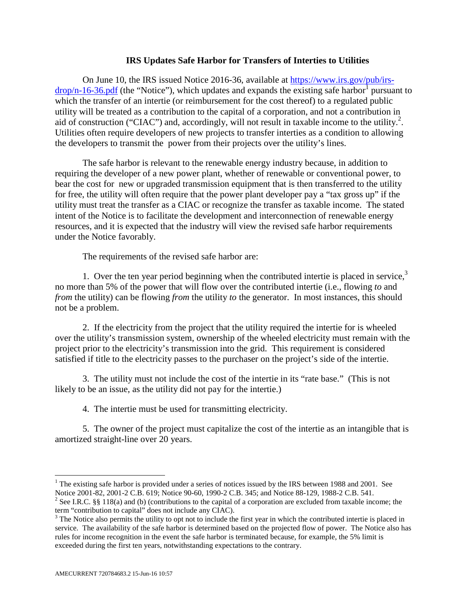## **IRS Updates Safe Harbor for Transfers of Interties to Utilities**

On June 10, the IRS issued Notice 2016-36, available at https://www.irs.gov/pub/irs $drop/n-16-36.pdf$  (the "Notice"), which updates and expands the existing safe harbor<sup>1</sup> pursuant to which the transfer of an intertie (or reimbursement for the cost thereof) to a regulated public utility will be treated as a contribution to the capital of a corporation, and not a contribution in aid of construction ("CIAC") and, accordingly, will not result in taxable income to the utility.<sup>2</sup>. Utilities often require developers of new projects to transfer interties as a condition to allowing the developers to transmit the power from their projects over the utility's lines.

The safe harbor is relevant to the renewable energy industry because, in addition to requiring the developer of a new power plant, whether of renewable or conventional power, to bear the cost for new or upgraded transmission equipment that is then transferred to the utility for free, the utility will often require that the power plant developer pay a "tax gross up" if the utility must treat the transfer as a CIAC or recognize the transfer as taxable income. The stated intent of the Notice is to facilitate the development and interconnection of renewable energy resources, and it is expected that the industry will view the revised safe harbor requirements under the Notice favorably.

The requirements of the revised safe harbor are:

1. Over the ten year period beginning when the contributed intertie is placed in service, $3$ no more than 5% of the power that will flow over the contributed intertie (i.e., flowing *to* and *from* the utility) can be flowing *from* the utility *to* the generator. In most instances, this should not be a problem.

2. If the electricity from the project that the utility required the intertie for is wheeled over the utility's transmission system, ownership of the wheeled electricity must remain with the project prior to the electricity's transmission into the grid. This requirement is considered satisfied if title to the electricity passes to the purchaser on the project's side of the intertie.

3. The utility must not include the cost of the intertie in its "rate base." (This is not likely to be an issue, as the utility did not pay for the intertie.)

4. The intertie must be used for transmitting electricity.

5. The owner of the project must capitalize the cost of the intertie as an intangible that is amortized straight-line over 20 years.

<sup>&</sup>lt;sup>1</sup> The existing safe harbor is provided under a series of notices issued by the IRS between 1988 and 2001. See Notice 2001-82, 2001-2 C.B. 619; Notice 90-60, 1990-2 C.B. 345; and Notice 88-129, 1988-2 C.B. 541.

<sup>&</sup>lt;sup>2</sup> See I.R.C. §§ 118(a) and (b) (contributions to the capital of a corporation are excluded from taxable income; the term "contribution to capital" does not include any CIAC).

<sup>&</sup>lt;sup>3</sup> The Notice also permits the utility to opt not to include the first year in which the contributed intertie is placed in service. The availability of the safe harbor is determined based on the projected flow of power. The Notice also has rules for income recognition in the event the safe harbor is terminated because, for example, the 5% limit is exceeded during the first ten years, notwithstanding expectations to the contrary.